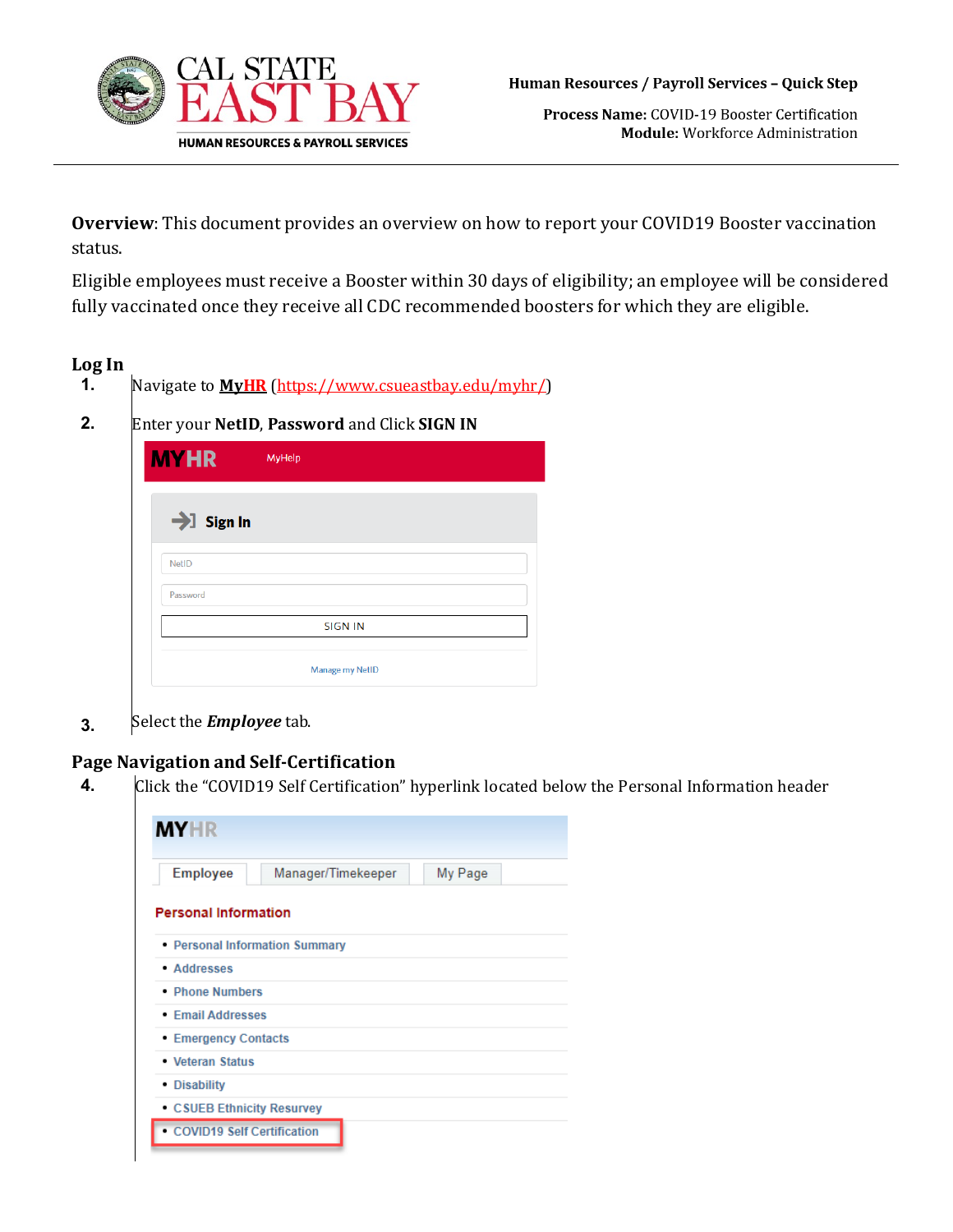

Process Name: COVID-19 Booster Certification Module: Workforce Administration

**Overview**: This document provides an overview on how to report your COVID19 Booster vaccination status.

Eligible employees must receive a Booster within 30 days of eligibility; an employee will be considered fully vaccinated once they receive all CDC recommended boosters for which they are eligible.

## **Log In**

- **1.** Navigate to **[MyHR](https://www.csueastbay.edu/myhr/)** [\(https://www.csueastbay.edu/myhr/\)](https://www.csueastbay.edu/mycsueb/)
- 

**2.** Enter your **NetID**, **Password** and Click **SIGN IN**

| $\rightarrow$ Sign In |                |  |
|-----------------------|----------------|--|
| <b>NetID</b>          |                |  |
| Password              |                |  |
|                       | <b>SIGN IN</b> |  |

**3.** Select the *Employee* tab.

## **Page Navigation and Self-Certification**

**4.** Click the "COVID19 Self Certification" hyperlink located below the Personal Information header

| <b>Employee</b>             | Manager/Timekeeper             | My Page |
|-----------------------------|--------------------------------|---------|
| <b>Personal Information</b> |                                |         |
|                             | • Personal Information Summary |         |
| • Addresses                 |                                |         |
| • Phone Numbers             |                                |         |
| • Email Addresses           |                                |         |
| <b>Emergency Contacts</b>   |                                |         |
| • Veteran Status            |                                |         |
|                             |                                |         |
| • Disability                |                                |         |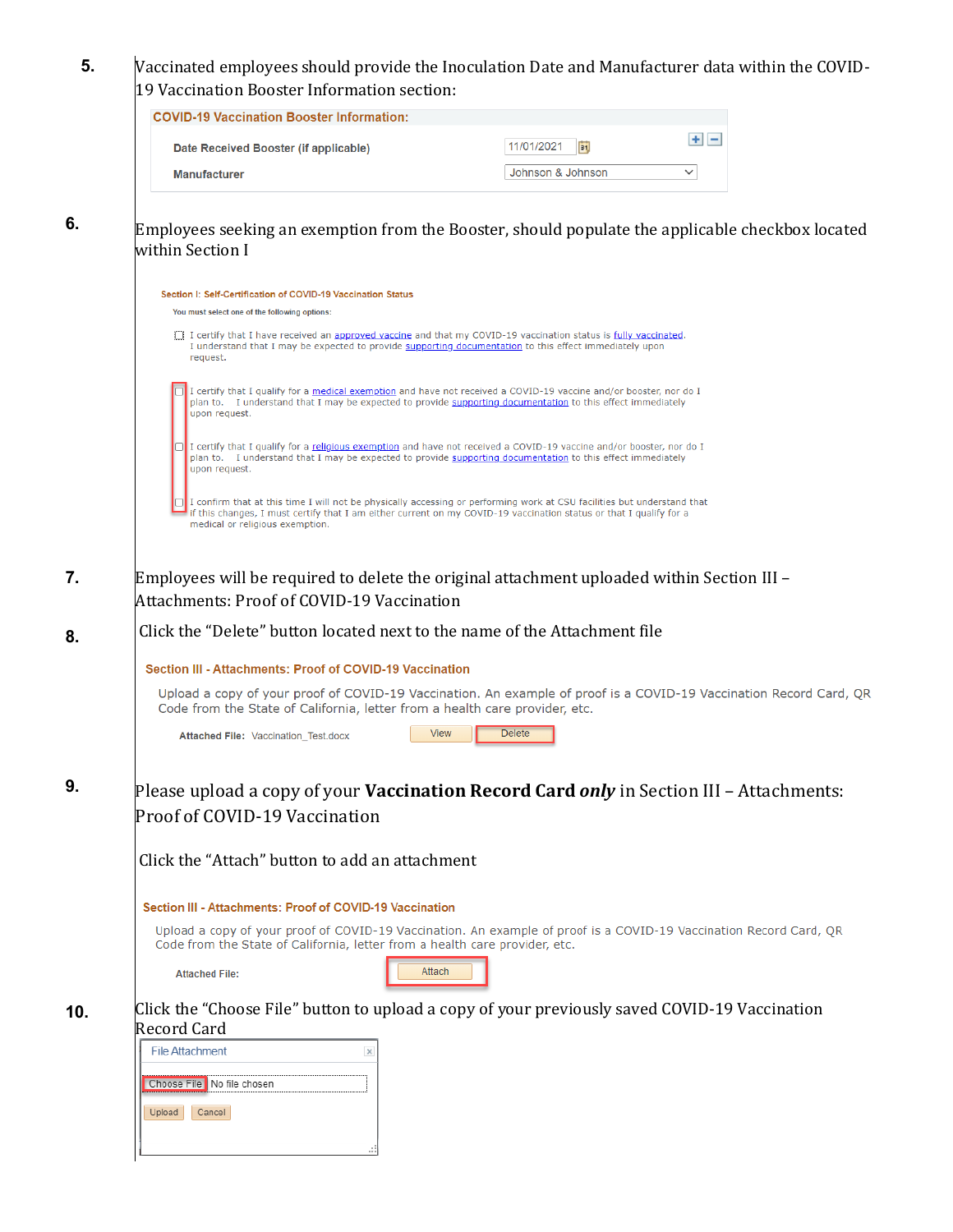## **5.** Vaccinated employees should provide the Inoculation Date and Manufacturer data within the COVID-19 Vaccination Booster Information section:

| <b>COVID-19 Vaccination Booster Information:</b> |                   |             |
|--------------------------------------------------|-------------------|-------------|
| Date Received Booster (if applicable)            | 11/01/2021        |             |
| <b>Manufacturer</b>                              | Johnson & Johnson | $\check{ }$ |

**6.**

Employees seeking an exemption from the Booster, should populate the applicable checkbox located within Section I

|     | Section I: Self-Certification of COVID-19 Vaccination Status                                                                                                                                                                                                                     |
|-----|----------------------------------------------------------------------------------------------------------------------------------------------------------------------------------------------------------------------------------------------------------------------------------|
|     | You must select one of the following options:                                                                                                                                                                                                                                    |
|     | I certify that I have received an approved vaccine and that my COVID-19 vaccination status is fully vaccinated.<br>I understand that I may be expected to provide supporting documentation to this effect immediately upon<br>request.                                           |
|     | I certify that I qualify for a medical exemption and have not received a COVID-19 vaccine and/or booster, nor do I<br>plan to. I understand that I may be expected to provide supporting documentation to this effect immediately<br>upon request.                               |
|     | I certify that I qualify for a religious exemption and have not received a COVID-19 vaccine and/or booster, nor do I<br>plan to. I understand that I may be expected to provide supporting documentation to this effect immediately<br>upon request.                             |
|     | I confirm that at this time I will not be physically accessing or performing work at CSU facilities but understand that<br>if this changes, I must certify that I am either current on my COVID-19 vaccination status or that I qualify for a<br>medical or religious exemption. |
| 7.  | Employees will be required to delete the original attachment uploaded within Section III -                                                                                                                                                                                       |
|     | <b>Attachments: Proof of COVID-19 Vaccination</b>                                                                                                                                                                                                                                |
| 8.  | Click the "Delete" button located next to the name of the Attachment file                                                                                                                                                                                                        |
|     | Section III - Attachments: Proof of COVID-19 Vaccination                                                                                                                                                                                                                         |
|     | Upload a copy of your proof of COVID-19 Vaccination. An example of proof is a COVID-19 Vaccination Record Card, QR<br>Code from the State of California, letter from a health care provider, etc.                                                                                |
|     | <b>Delete</b><br><b>View</b><br>Attached File: Vaccination_Test.docx                                                                                                                                                                                                             |
| 9.  | Please upload a copy of your <b>Vaccination Record Card <i>only</i></b> in Section III – Attachments:                                                                                                                                                                            |
|     | Proof of COVID-19 Vaccination                                                                                                                                                                                                                                                    |
|     | Click the "Attach" button to add an attachment                                                                                                                                                                                                                                   |
|     | Section III - Attachments: Proof of COVID-19 Vaccination                                                                                                                                                                                                                         |
|     | Upload a copy of your proof of COVID-19 Vaccination. An example of proof is a COVID-19 Vaccination Record Card, QR<br>Code from the State of California, letter from a health care provider, etc.                                                                                |
|     | Attach<br><b>Attached File:</b>                                                                                                                                                                                                                                                  |
| 10. | Click the "Choose File" button to upload a copy of your previously saved COVID-19 Vaccination<br><b>Record Card</b>                                                                                                                                                              |
|     | <b>File Attachment</b><br>×                                                                                                                                                                                                                                                      |
|     | Choose File No file chosen                                                                                                                                                                                                                                                       |
|     | Cancel<br>Upload                                                                                                                                                                                                                                                                 |
|     |                                                                                                                                                                                                                                                                                  |
|     |                                                                                                                                                                                                                                                                                  |